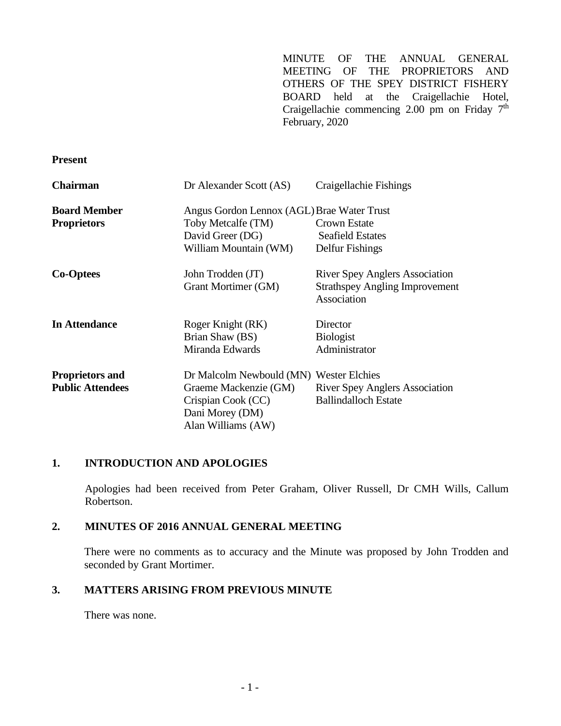MINUTE OF THE ANNUAL GENERAL MEETING OF THE PROPRIETORS AND OTHERS OF THE SPEY DISTRICT FISHERY BOARD held at the Craigellachie Hotel, Craigellachie commencing 2.00 pm on Friday  $7<sup>th</sup>$ February, 2020

#### **Present**

| <b>Chairman</b>         | Dr Alexander Scott (AS)                    | Craigellachie Fishings                               |
|-------------------------|--------------------------------------------|------------------------------------------------------|
| <b>Board Member</b>     | Angus Gordon Lennox (AGL) Brae Water Trust |                                                      |
| <b>Proprietors</b>      | Toby Metcalfe (TM)                         | Crown Estate                                         |
|                         | David Greer (DG)                           | <b>Seafield Estates</b>                              |
|                         | William Mountain (WM)                      | Delfur Fishings                                      |
| <b>Co-Optees</b>        | John Trodden (JT)                          | <b>River Spey Anglers Association</b>                |
|                         | Grant Mortimer (GM)                        | <b>Strathspey Angling Improvement</b><br>Association |
| <b>In Attendance</b>    | Roger Knight (RK)                          | Director                                             |
|                         | Brian Shaw (BS)                            | <b>Biologist</b>                                     |
|                         | Miranda Edwards                            | Administrator                                        |
| <b>Proprietors and</b>  | Dr Malcolm Newbould (MN) Wester Elchies    |                                                      |
| <b>Public Attendees</b> | Graeme Mackenzie (GM)                      | <b>River Spey Anglers Association</b>                |
|                         | Crispian Cook (CC)                         | <b>Ballindalloch Estate</b>                          |
|                         | Dani Morey (DM)                            |                                                      |
|                         | Alan Williams (AW)                         |                                                      |

## **1. INTRODUCTION AND APOLOGIES**

Apologies had been received from Peter Graham, Oliver Russell, Dr CMH Wills, Callum Robertson.

## **2. MINUTES OF 2016 ANNUAL GENERAL MEETING**

There were no comments as to accuracy and the Minute was proposed by John Trodden and seconded by Grant Mortimer.

## **3. MATTERS ARISING FROM PREVIOUS MINUTE**

There was none.